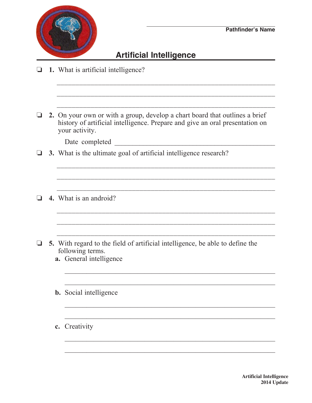

## **Artificial Intelligence**

\_\_\_\_\_\_\_\_\_\_\_\_\_\_\_\_\_\_\_\_\_\_\_\_\_\_\_\_\_\_\_\_\_\_\_\_\_\_\_\_\_\_\_\_\_\_\_\_\_\_\_\_\_\_\_\_\_\_

- o **1.** What is artificial intelligence?
- \_\_\_\_\_\_\_\_\_\_\_\_\_\_\_\_\_\_\_\_\_\_\_\_\_\_\_\_\_\_\_\_\_\_\_\_\_\_\_\_\_\_\_\_\_\_\_\_\_\_\_\_\_\_\_\_\_\_ \_\_\_\_\_\_\_\_\_\_\_\_\_\_\_\_\_\_\_\_\_\_\_\_\_\_\_\_\_\_\_\_\_\_\_\_\_\_\_\_\_\_\_\_\_\_\_\_\_\_\_\_\_\_\_\_\_\_ o **2.** On your own or with a group, develop a chart board that outlines a brief history of artificial intelligence. Prepare and give an oral presentation on your activity. Date completed \_\_\_\_\_\_\_\_\_\_\_\_\_\_\_\_\_\_\_\_\_\_\_\_\_\_\_\_\_\_\_\_\_\_\_\_\_\_\_\_\_\_\_\_\_  $\Box$  3. What is the ultimate goal of artificial intelligence research? \_\_\_\_\_\_\_\_\_\_\_\_\_\_\_\_\_\_\_\_\_\_\_\_\_\_\_\_\_\_\_\_\_\_\_\_\_\_\_\_\_\_\_\_\_\_\_\_\_\_\_\_\_\_\_\_\_\_ \_\_\_\_\_\_\_\_\_\_\_\_\_\_\_\_\_\_\_\_\_\_\_\_\_\_\_\_\_\_\_\_\_\_\_\_\_\_\_\_\_\_\_\_\_\_\_\_\_\_\_\_\_\_\_\_\_\_ \_\_\_\_\_\_\_\_\_\_\_\_\_\_\_\_\_\_\_\_\_\_\_\_\_\_\_\_\_\_\_\_\_\_\_\_\_\_\_\_\_\_\_\_\_\_\_\_\_\_\_\_\_\_\_\_\_\_ o **4.** What is an android? \_\_\_\_\_\_\_\_\_\_\_\_\_\_\_\_\_\_\_\_\_\_\_\_\_\_\_\_\_\_\_\_\_\_\_\_\_\_\_\_\_\_\_\_\_\_\_\_\_\_\_\_\_\_\_\_\_\_ \_\_\_\_\_\_\_\_\_\_\_\_\_\_\_\_\_\_\_\_\_\_\_\_\_\_\_\_\_\_\_\_\_\_\_\_\_\_\_\_\_\_\_\_\_\_\_\_\_\_\_\_\_\_\_\_\_\_  $\Box$  5. With regard to the field of artificial intelligence, be able to define the following terms. **a.** General intelligence  $\mathcal{L}_\text{max}$  and  $\mathcal{L}_\text{max}$  and  $\mathcal{L}_\text{max}$  and  $\mathcal{L}_\text{max}$  and  $\mathcal{L}_\text{max}$  and  $\mathcal{L}_\text{max}$  **b.** Social intelligence

 $\mathcal{L}_\text{max}$  , and the contract of the contract of the contract of the contract of the contract of the contract of the contract of the contract of the contract of the contract of the contract of the contract of the contr

 $\mathcal{L}_\text{max}$  and  $\mathcal{L}_\text{max}$  and  $\mathcal{L}_\text{max}$  and  $\mathcal{L}_\text{max}$  and  $\mathcal{L}_\text{max}$  and  $\mathcal{L}_\text{max}$ 

 $\mathcal{L}_\text{max}$  and  $\mathcal{L}_\text{max}$  and  $\mathcal{L}_\text{max}$  and  $\mathcal{L}_\text{max}$  and  $\mathcal{L}_\text{max}$  and  $\mathcal{L}_\text{max}$ 

 $\mathcal{L}_\text{max}$  and  $\mathcal{L}_\text{max}$  and  $\mathcal{L}_\text{max}$  and  $\mathcal{L}_\text{max}$  and  $\mathcal{L}_\text{max}$  and  $\mathcal{L}_\text{max}$ 

 **c.** Creativity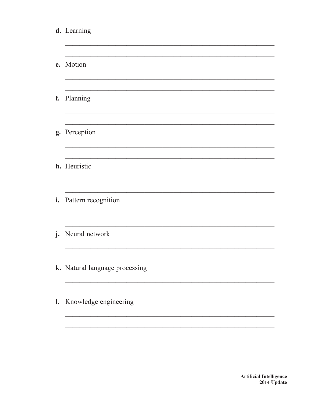|                | d. Learning                    |
|----------------|--------------------------------|
|                | e. Motion                      |
|                | f. Planning                    |
|                | g. Perception                  |
|                | h. Heuristic                   |
| i.             | Pattern recognition            |
|                | j. Neural network              |
|                | k. Natural language processing |
| $\mathbf{l}$ . | Knowledge engineering          |
|                |                                |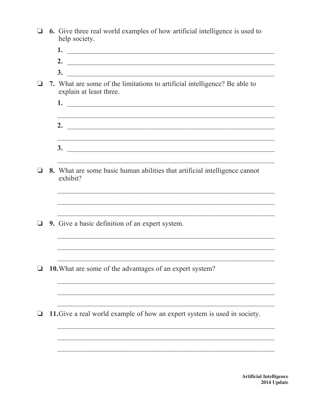- $\Box$  6. Give three real world examples of how artificial intelligence is used to help society.
	-
	-
	- $\overline{\mathbf{3.}}$
- $\Box$  7. What are some of the limitations to artificial intelligence? Be able to explain at least three.
	- 2.  $\blacksquare$  $\overline{\mathbf{3.}}$

<u> 1989 - Johann Stoff, deutscher Stoff, der Stoff, der Stoff, der Stoff, der Stoff, der Stoff, der Stoff, der S</u>

- $\Box$  8. What are some basic human abilities that artificial intelligence cannot exhibit?
- $\Box$  9. Give a basic definition of an expert system.
- $\Box$  10. What are some of the advantages of an expert system?
- $\Box$  11. Give a real world example of how an expert system is used in society.